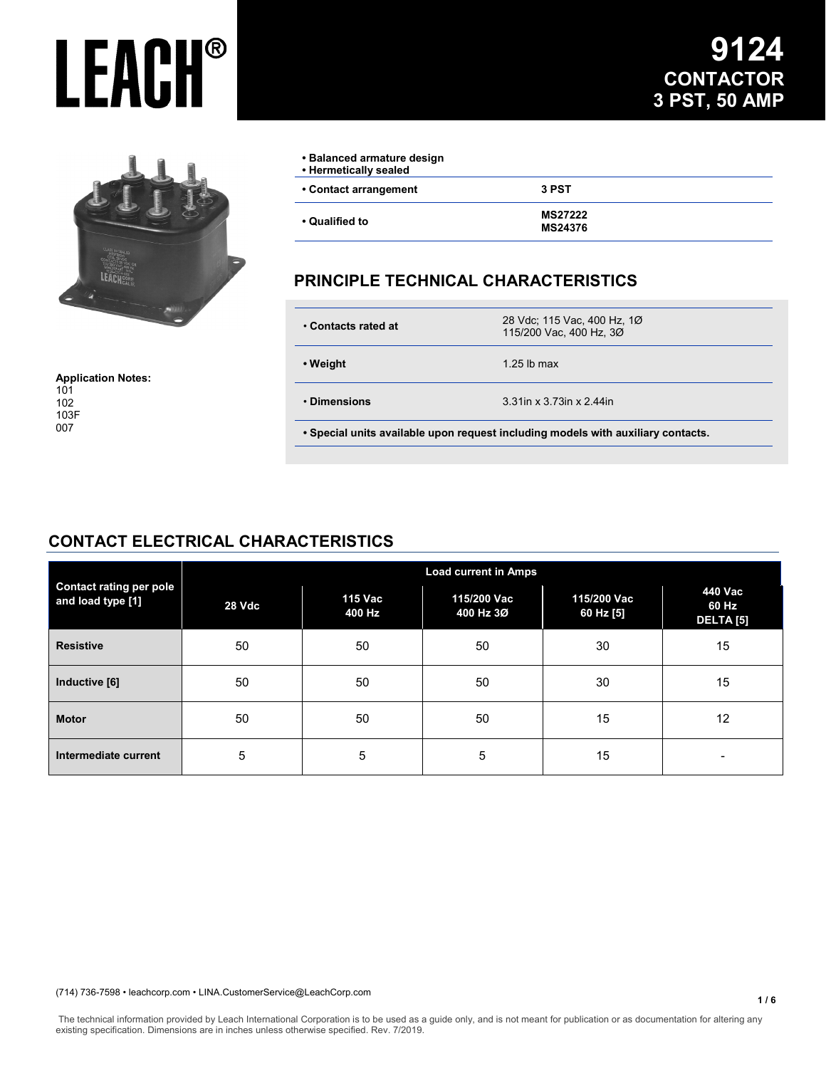

**Application Notes:** 101 102 103F 007

# **9124 CONTACTOR 3 PST, 50 AMP**

| • Balanced armature design<br>• Hermetically sealed |                                  |
|-----------------------------------------------------|----------------------------------|
| • Contact arrangement                               | 3 PST                            |
| • Qualified to                                      | <b>MS27222</b><br><b>MS24376</b> |

### **PRINCIPLE TECHNICAL CHARACTERISTICS**

| • Contacts rated at                                                              | 28 Vdc; 115 Vac, 400 Hz, 1Ø<br>115/200 Vac, 400 Hz, 3Ø |  |
|----------------------------------------------------------------------------------|--------------------------------------------------------|--|
| • Weight                                                                         | 1.25 lb max                                            |  |
| • Dimensions                                                                     | 3.31 in x 3.73 in x 2.44 in                            |  |
| . Special units available upon request including models with auxiliary contacts. |                                                        |  |

### **CONTACT ELECTRICAL CHARACTERISTICS**

| <b>Contact rating per pole</b><br>and load type [1] | <b>Load current in Amps</b> |                   |                          |                          |                               |
|-----------------------------------------------------|-----------------------------|-------------------|--------------------------|--------------------------|-------------------------------|
|                                                     | 28 Vdc                      | 115 Vac<br>400 Hz | 115/200 Vac<br>400 Hz 3Ø | 115/200 Vac<br>60 Hz [5] | 440 Vac<br>60 Hz<br>DELTA [5] |
| <b>Resistive</b>                                    | 50                          | 50                | 50                       | 30                       | 15                            |
| Inductive [6]                                       | 50                          | 50                | 50                       | 30                       | 15                            |
| <b>Motor</b>                                        | 50                          | 50                | 50                       | 15                       | 12                            |
| Intermediate current                                | 5                           | 5                 | 5                        | 15                       | $\overline{\phantom{a}}$      |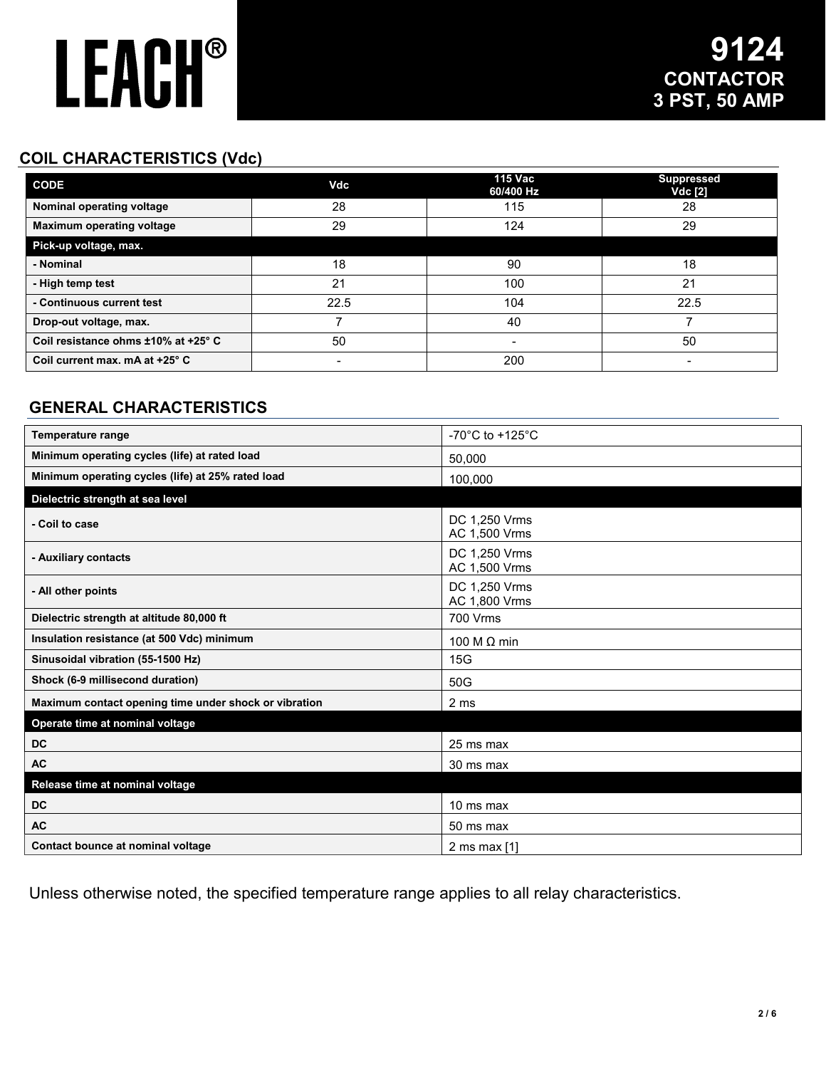## **COIL CHARACTERISTICS (Vdc)**

| <b>CODE</b>                         | Vdc  | <b>115 Vac</b><br>60/400 Hz | <b>Suppressed</b><br><b>Vdc [2]</b> |
|-------------------------------------|------|-----------------------------|-------------------------------------|
| Nominal operating voltage           | 28   | 115                         | 28                                  |
| <b>Maximum operating voltage</b>    | 29   | 124                         | 29                                  |
| Pick-up voltage, max.               |      |                             |                                     |
| - Nominal                           | 18   | 90                          | 18                                  |
| - High temp test                    | 21   | 100                         | 21                                  |
| - Continuous current test           | 22.5 | 104                         | 22.5                                |
| Drop-out voltage, max.              |      | 40                          |                                     |
| Coil resistance ohms ±10% at +25° C | 50   | -                           | 50                                  |
| Coil current max. mA at +25° C      |      | 200                         | -                                   |

## **GENERAL CHARACTERISTICS**

| <b>Temperature range</b>                              | -70°C to +125°C                |
|-------------------------------------------------------|--------------------------------|
| Minimum operating cycles (life) at rated load         | 50,000                         |
| Minimum operating cycles (life) at 25% rated load     | 100,000                        |
| Dielectric strength at sea level                      |                                |
| - Coil to case                                        | DC 1,250 Vrms<br>AC 1,500 Vrms |
| - Auxiliary contacts                                  | DC 1,250 Vrms<br>AC 1,500 Vrms |
| - All other points                                    | DC 1,250 Vrms<br>AC 1,800 Vrms |
| Dielectric strength at altitude 80,000 ft             | 700 Vrms                       |
| Insulation resistance (at 500 Vdc) minimum            | 100 M $\Omega$ min             |
| Sinusoidal vibration (55-1500 Hz)                     | 15G                            |
| Shock (6-9 millisecond duration)                      | 50G                            |
| Maximum contact opening time under shock or vibration | 2 ms                           |
| Operate time at nominal voltage                       |                                |
| DC                                                    | 25 ms max                      |
| <b>AC</b>                                             | 30 ms max                      |
| Release time at nominal voltage                       |                                |
| <b>DC</b>                                             | 10 ms max                      |
| <b>AC</b>                                             | 50 ms max                      |
| Contact bounce at nominal voltage                     | 2 ms max $[1]$                 |

Unless otherwise noted, the specified temperature range applies to all relay characteristics.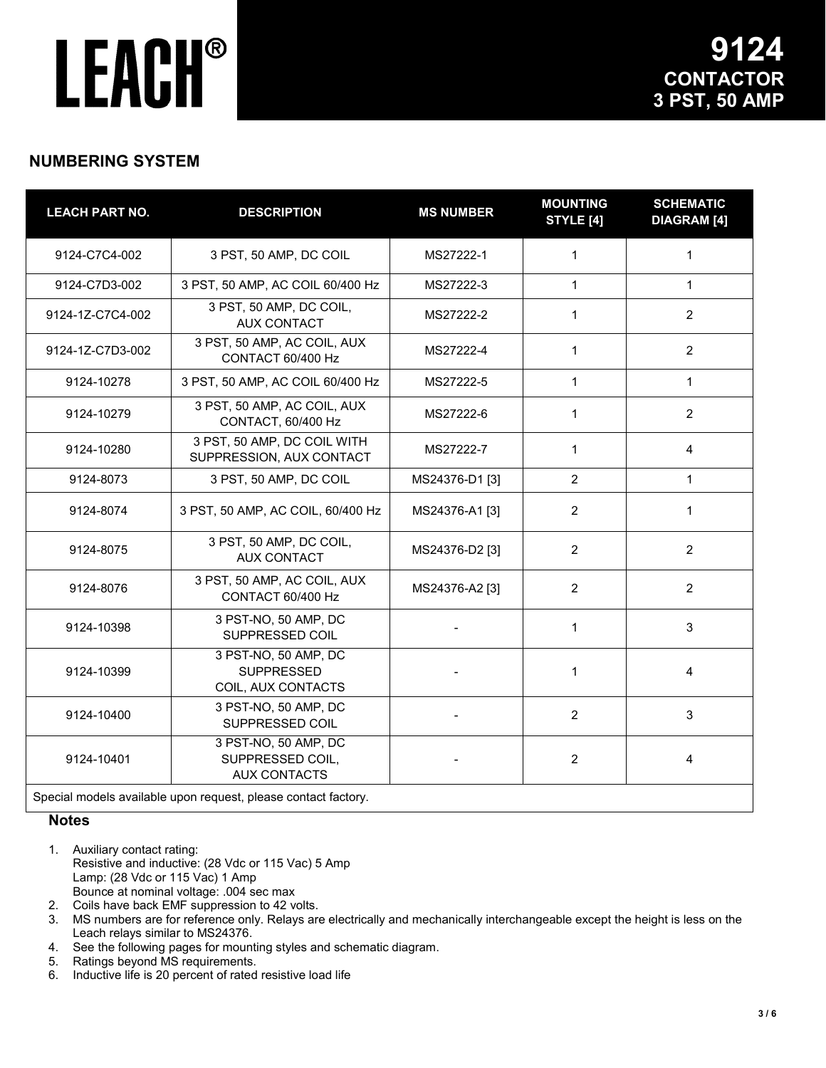### **NUMBERING SYSTEM**

| <b>LEACH PART NO.</b> | <b>DESCRIPTION</b>                                              | <b>MS NUMBER</b> | <b>MOUNTING</b><br><b>STYLE [4]</b> | <b>SCHEMATIC</b><br><b>DIAGRAM</b> [4] |
|-----------------------|-----------------------------------------------------------------|------------------|-------------------------------------|----------------------------------------|
| 9124-C7C4-002         | 3 PST, 50 AMP, DC COIL                                          | MS27222-1        | 1                                   | 1                                      |
| 9124-C7D3-002         | 3 PST, 50 AMP, AC COIL 60/400 Hz                                | MS27222-3        | $\mathbf{1}$                        | $\mathbf{1}$                           |
| 9124-1Z-C7C4-002      | 3 PST, 50 AMP, DC COIL,<br><b>AUX CONTACT</b>                   | MS27222-2        | $\mathbf{1}$                        | $\overline{2}$                         |
| 9124-1Z-C7D3-002      | 3 PST, 50 AMP, AC COIL, AUX<br>CONTACT 60/400 Hz                | MS27222-4        | 1                                   | $\overline{2}$                         |
| 9124-10278            | 3 PST, 50 AMP, AC COIL 60/400 Hz                                | MS27222-5        | $\mathbf{1}$                        | $\mathbf{1}$                           |
| 9124-10279            | 3 PST, 50 AMP, AC COIL, AUX<br>CONTACT, 60/400 Hz               | MS27222-6        | $\mathbf{1}$                        | $\overline{2}$                         |
| 9124-10280            | 3 PST, 50 AMP, DC COIL WITH<br>SUPPRESSION, AUX CONTACT         | MS27222-7        | 1                                   | 4                                      |
| 9124-8073             | 3 PST, 50 AMP, DC COIL                                          | MS24376-D1 [3]   | $\overline{2}$                      | $\mathbf{1}$                           |
| 9124-8074             | 3 PST, 50 AMP, AC COIL, 60/400 Hz                               | MS24376-A1 [3]   | $\overline{c}$                      | 1                                      |
| 9124-8075             | 3 PST, 50 AMP, DC COIL,<br><b>AUX CONTACT</b>                   | MS24376-D2 [3]   | $\overline{2}$                      | $\overline{2}$                         |
| 9124-8076             | 3 PST, 50 AMP, AC COIL, AUX<br>CONTACT 60/400 Hz                | MS24376-A2 [3]   | $\overline{2}$                      | $\overline{2}$                         |
| 9124-10398            | 3 PST-NO, 50 AMP, DC<br>SUPPRESSED COIL                         |                  | $\mathbf 1$                         | 3                                      |
| 9124-10399            | 3 PST-NO, 50 AMP, DC<br><b>SUPPRESSED</b><br>COIL, AUX CONTACTS |                  | 1                                   | 4                                      |
| 9124-10400            | 3 PST-NO, 50 AMP, DC<br>SUPPRESSED COIL                         |                  | 2                                   | 3                                      |
| 9124-10401            | 3 PST-NO, 50 AMP, DC<br>SUPPRESSED COIL,<br><b>AUX CONTACTS</b> |                  | $\overline{2}$                      | 4                                      |
|                       | Special models available upon request, please contact factory   |                  |                                     |                                        |

Special models available upon request, please contact factory.

#### **Notes**

- 1. Auxiliary contact rating: Resistive and inductive: (28 Vdc or 115 Vac) 5 Amp Lamp: (28 Vdc or 115 Vac) 1 Amp Bounce at nominal voltage: .004 sec max
- 2. Coils have back EMF suppression to 42 volts.<br>3. MS numbers are for reference only. Relays are
- MS numbers are for reference only. Relays are electrically and mechanically interchangeable except the height is less on the Leach relays similar to MS24376.
- 4. See the following pages for mounting styles and schematic diagram.
- 5. Ratings beyond MS requirements.
- 6. Inductive life is 20 percent of rated resistive load life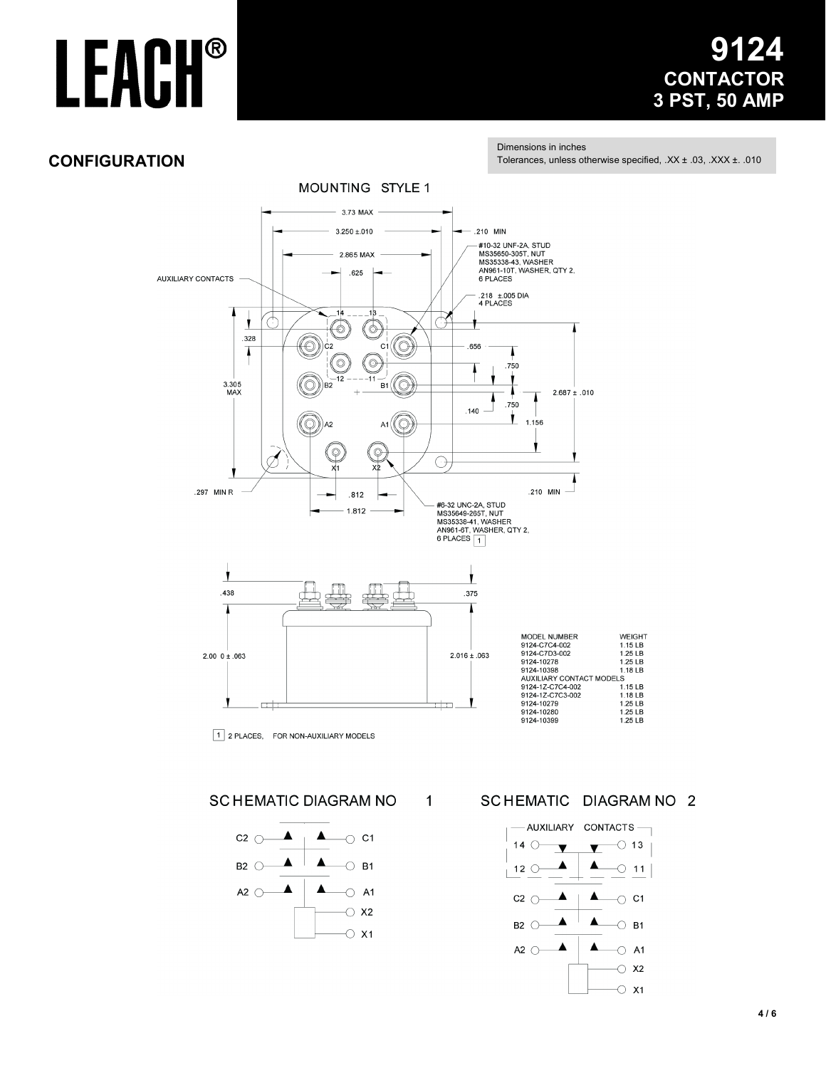### 24 9 **CONTACTOR** 3 PST, 50 AMP

### **CONFIGURATION**

Dimensions in inches Tolerances, unless otherwise specified, .XX ± .03, .XXX ± .010



 $\mathbf 1$ 

**SCHEMATIC DIAGRAM NO** 



SCHEMATIC DIAGRAM NO 2

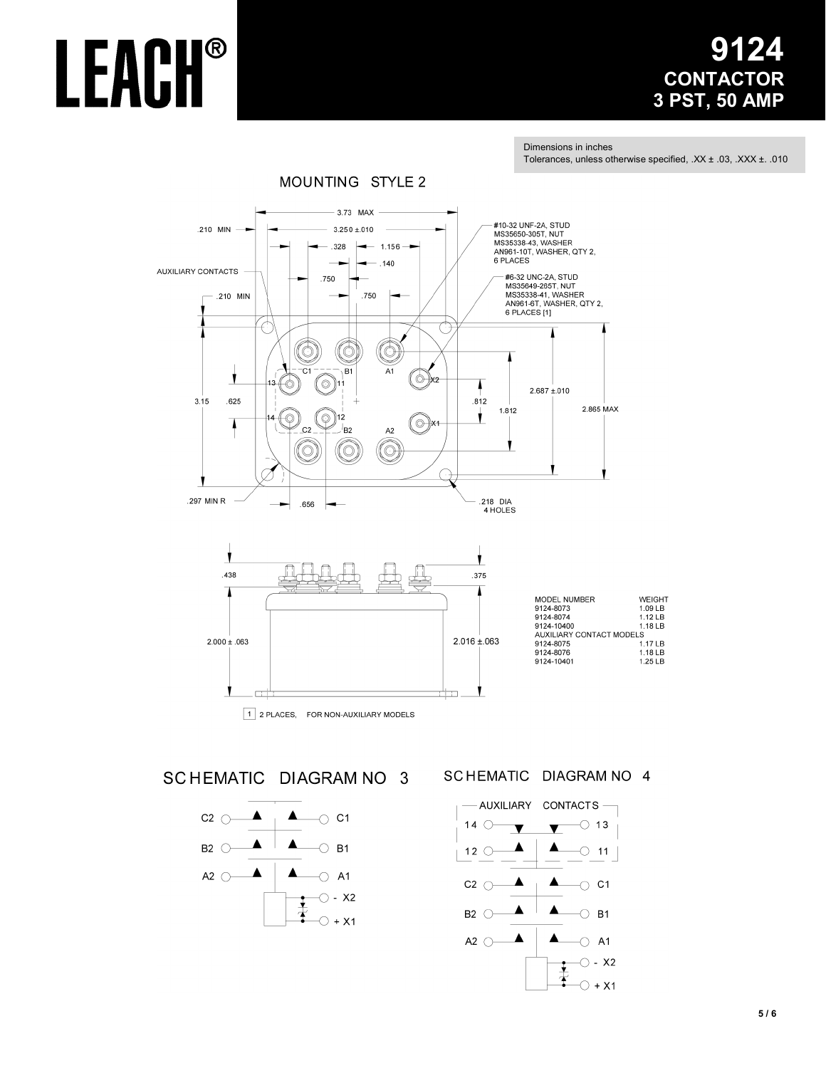# 9124 **CONTACTOR** 3 PST, 50 AMP

Dimensions in inches Tolerances, unless otherwise specified, .XX ± .03, .XXX ± .010

**WEIGHT** 

1.09 LB<br>1.12 LB

1.18 LB

LS<br>1.17 LB<br>1.18 LB

1.25 LB





SCHEMATIC DIAGRAM NO 3



#### SCHEMATIC DIAGRAM NO 4